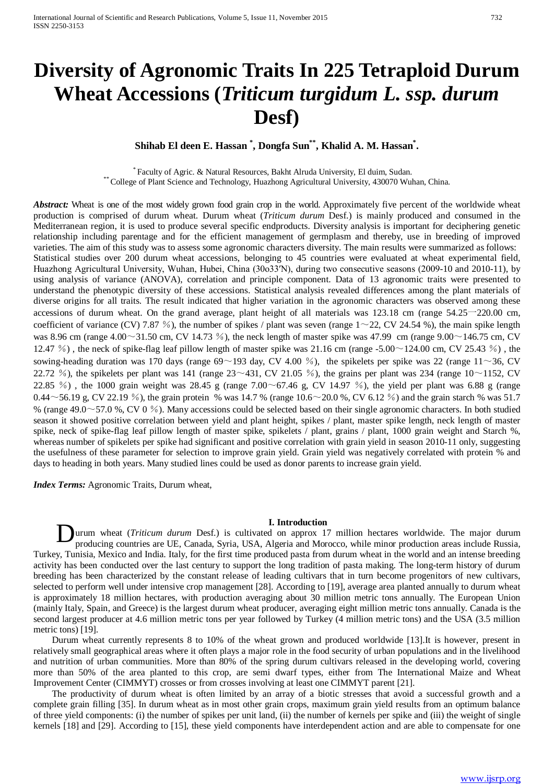# **Diversity of Agronomic Traits In 225 Tetraploid Durum Wheat Accessions (***Triticum turgidum L. ssp. durum* **Desf)**

# **Shihab El deen E. Hassan \* , Dongfa Sun\*\*, Khalid A. M. Hassan\* .**

*P* \* *<sup>P</sup>*Faculty of Agric. & Natural Resources, Bakht Alruda University, El duim, Sudan. \*\* College of Plant Science and Technology, Huazhong Agricultural University, 430070 Wuhan, China.

Abstract: Wheat is one of the most widely grown food grain crop in the world. Approximately five percent of the worldwide wheat production is comprised of durum wheat. Durum wheat (*Triticum durum* Desf.) is mainly produced and consumed in the Mediterranean region, it is used to produce several specific endproducts. Diversity analysis is important for deciphering genetic relationship including parentage and for the efficient management of germplasm and thereby, use in breeding of improved varieties. The aim of this study was to assess some agronomic characters diversity. The main results were summarized as follows: Statistical studies over 200 durum wheat accessions, belonging to 45 countries were evaluated at wheat experimental field, Huazhong Agricultural University, Wuhan, Hubei, China (30o33′N), during two consecutive seasons (2009-10 and 2010-11), by using analysis of variance (ANOVA), correlation and principle component. Data of 13 agronomic traits were presented to understand the phenotypic diversity of these accessions. Statistical analysis revealed differences among the plant materials of diverse origins for all traits. The result indicated that higher variation in the agronomic characters was observed among these accessions of durum wheat. On the grand average, plant height of all materials was 123.18 cm (range 54.25一220.00 cm, coefficient of variance (CV) 7.87 %), the number of spikes / plant was seven (range  $1 \sim 22$ , CV 24.54 %), the main spike length was 8.96 cm (range  $4.00\sim$ 31.50 cm, CV 14.73 %), the neck length of master spike was 47.99 cm (range 9.00 $\sim$ 146.75 cm, CV 12.47 %), the neck of spike-flag leaf pillow length of master spike was 21.16 cm (range -5.00 $\sim$ 124.00 cm, CV 25.43 %), the sowing-heading duration was 170 days (range  $69 \sim 193$  day, CV 4.00 %), the spikelets per spike was 22 (range  $11 \sim 36$ , CV 22.72 %), the spikelets per plant was 141 (range  $23 \sim 431$ , CV 21.05 %), the grains per plant was 234 (range  $10 \sim 1152$ , CV 22.85 %), the 1000 grain weight was 28.45 g (range 7.00 $\sim$ 67.46 g, CV 14.97 %), the yield per plant was 6.88 g (range 0.44~56.19 g, CV 22.19 %), the grain protein % was 14.7 % (range  $10.6 \sim 20.0$  %, CV 6.12 %) and the grain starch % was 51.7 % (range  $49.0 \sim 57.0$  %, CV 0 %). Many accessions could be selected based on their single agronomic characters. In both studied season it showed positive correlation between yield and plant height, spikes / plant, master spike length, neck length of master spike, neck of spike-flag leaf pillow length of master spike, spikelets / plant, grains / plant, 1000 grain weight and Starch %, whereas number of spikelets per spike had significant and positive correlation with grain yield in season 2010-11 only, suggesting the usefulness of these parameter for selection to improve grain yield. Grain yield was negatively correlated with protein % and days to heading in both years. Many studied lines could be used as donor parents to increase grain yield.

*Index Terms:* Agronomic Traits, Durum wheat,

#### **I. Introduction**

urum wheat (*Triticum durum* Desf.) is cultivated on approx 17 million hectares worldwide. The major durum producing countries are UE, Canada, Syria, USA, Algeria and Morocco, while minor production areas include Russia, Turkey, Tunisia, Mexico and India. Italy, for the first time produced pasta from durum wheat in the world and an intense breeding activity has been conducted over the last century to support the long tradition of pasta making. The long-term history of durum breeding has been characterized by the constant release of leading cultivars that in turn become progenitors of new cultivars, selected to perform well under intensive crop management [28]. According to [19], average area planted annually to durum wheat is approximately 18 million hectares, with production averaging about 30 million metric tons annually. The European Union (mainly Italy, Spain, and Greece) is the largest durum wheat producer, averaging eight million metric tons annually. Canada is the second largest producer at 4.6 million metric tons per year followed by Turkey (4 million metric tons) and the USA (3.5 million metric tons) [19]. D

Durum wheat currently represents 8 to 10% of the wheat grown and produced worldwide [13].It is however, present in relatively small geographical areas where it often plays a major role in the food security of urban populations and in the livelihood and nutrition of urban communities. More than 80% of the spring durum cultivars released in the developing world, covering more than 50% of the area planted to this crop, are semi dwarf types, either from The International Maize and Wheat Improvement Center (CIMMYT) crosses or from crosses involving at least one CIMMYT parent [21].

The productivity of durum wheat is often limited by an array of a biotic stresses that avoid a successful growth and a complete grain filling [35]. In durum wheat as in most other grain crops, maximum grain yield results from an optimum balance of three yield components: (i) the number of spikes per unit land, (ii) the number of kernels per spike and (iii) the weight of single kernels [18] and [29]. According to [15], these yield components have interdependent action and are able to compensate for one

[www.ijsrp.org](http://ijsrp.org/)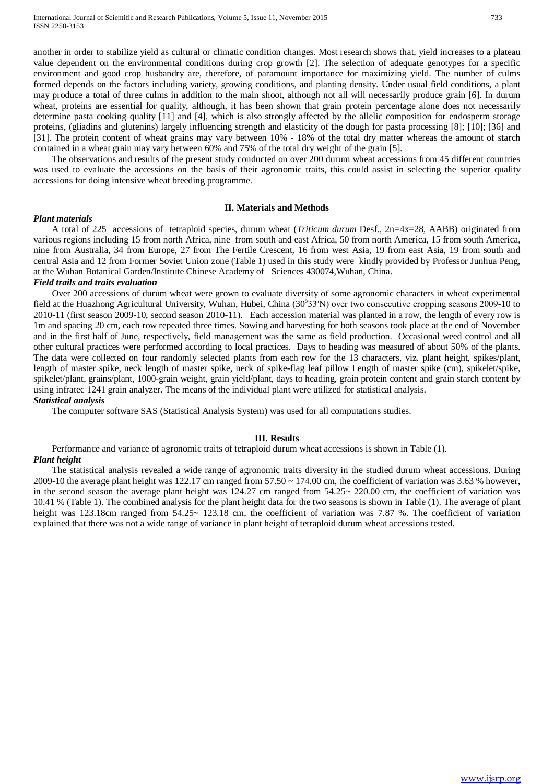another in order to stabilize yield as cultural or climatic condition changes. Most research shows that, yield increases to a plateau value dependent on the environmental conditions during crop growth [2]. The selection of adequate genotypes for a specific environment and good crop husbandry are, therefore, of paramount importance for maximizing yield. The number of culms formed depends on the factors including variety, growing conditions, and planting density. Under usual field conditions, a plant may produce a total of three culms in addition to the main shoot, although not all will necessarily produce grain [6]. In durum wheat, proteins are essential for quality, although, it has been shown that grain protein percentage alone does not necessarily determine pasta cooking quality [11] and [4], which is also strongly affected by the allelic composition for endosperm storage proteins, (gliadins and glutenins) largely influencing strength and elasticity of the dough for pasta processing [8]; [10]; [36] and [31]. The protein content of wheat grains may vary between 10% - 18% of the total dry matter whereas the amount of starch contained in a wheat grain may vary between 60% and 75% of the total dry weight of the grain [5].

The observations and results of the present study conducted on over 200 durum wheat accessions from 45 different countries was used to evaluate the accessions on the basis of their agronomic traits, this could assist in selecting the superior quality accessions for doing intensive wheat breeding programme.

#### **II. Materials and Methods**

# *Plant materials*

A total of 225 accessions of tetraploid species, durum wheat (*Triticum durum* Desf., 2n=4x=28, AABB) originated from various regions including 15 from north Africa, nine from south and east Africa, 50 from north America, 15 from south America, nine from Australia, 34 from Europe, 27 from The Fertile Crescent, 16 from west Asia, 19 from east Asia, 19 from south and central Asia and 12 from Former Soviet Union zone (Table 1) used in this study were kindly provided by Professor Junhua Peng, at the Wuhan Botanical Garden/Institute Chinese Academy of Sciences 430074,Wuhan, China.

#### *Field trails and traits evaluation*

Over 200 accessions of durum wheat were grown to evaluate diversity of some agronomic characters in wheat experimental field at the Huazhong Agricultural University, Wuhan, Hubei, China (30°33'N) over two consecutive cropping seasons 2009-10 to 2010-11 (first season 2009-10, second season 2010-11). Each accession material was planted in a row, the length of every row is 1m and spacing 20 cm, each row repeated three times. Sowing and harvesting for both seasons took place at the end of November and in the first half of June, respectively, field management was the same as field production. Occasional weed control and all other cultural practices were performed according to local practices. Days to heading was measured of about 50% of the plants. The data were collected on four randomly selected plants from each row for the 13 characters, viz. plant height, spikes/plant, length of master spike, neck length of master spike, neck of spike-flag leaf pillow Length of master spike (cm), spikelet/spike, spikelet/plant, grains/plant, 1000-grain weight, grain yield/plant, days to heading, grain protein content and grain starch content by using infratec 1241 grain analyzer. The means of the individual plant were utilized for statistical analysis. *Statistical analysis*

The computer software SAS (Statistical Analysis System) was used for all computations studies.

# **III. Results**

Performance and variance of agronomic traits of tetraploid durum wheat accessions is shown in Table (1).

# *Plant height*

The statistical analysis revealed a wide range of agronomic traits diversity in the studied durum wheat accessions. During 2009-10 the average plant height was 122.17 cm ranged from  $57.50 \sim 174.00$  cm, the coefficient of variation was 3.63 % however, in the second season the average plant height was  $124.27$  cm ranged from  $54.25 \sim 220.00$  cm, the coefficient of variation was 10.41 % (Table 1). The combined analysis for the plant height data for the two seasons is shown in Table (1). The average of plant height was 123.18cm ranged from 54.25~ 123.18 cm, the coefficient of variation was 7.87 %. The coefficient of variation explained that there was not a wide range of variance in plant height of tetraploid durum wheat accessions tested.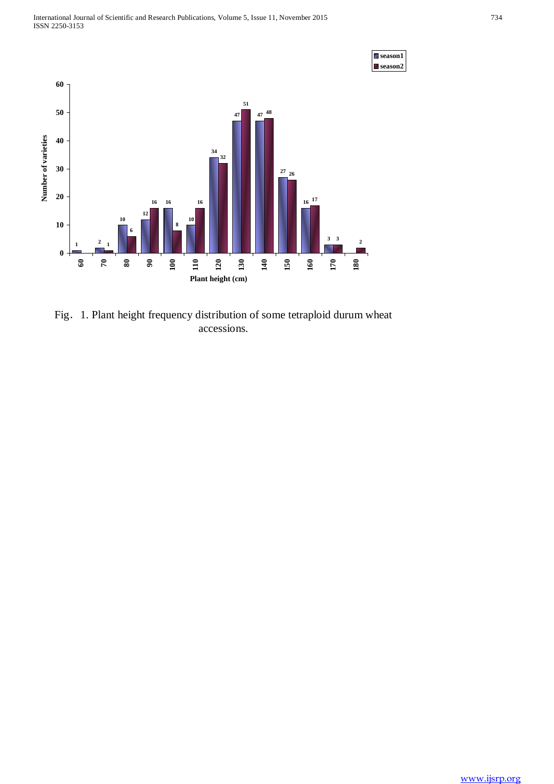

Fig. 1. Plant height frequency distribution of some tetraploid durum wheat accessions.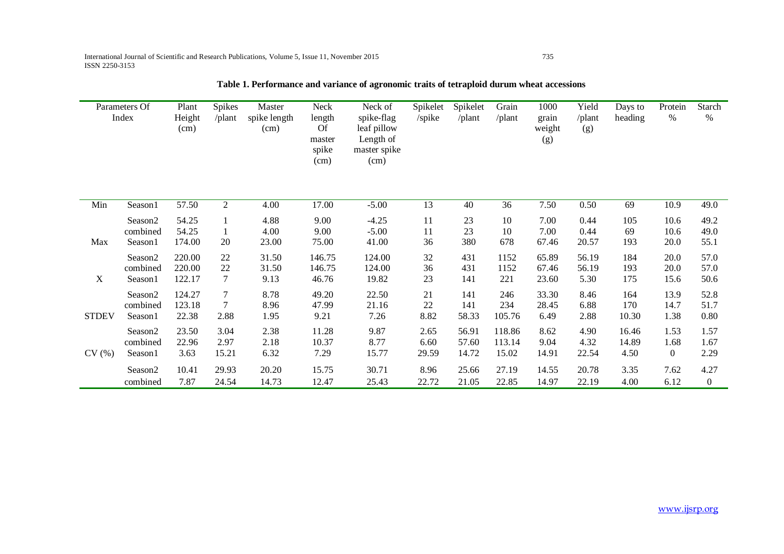| Parameters Of<br>Index |                     | Plant<br>Height<br>(cm) | <b>Spikes</b><br>/plant | Master<br>spike length<br>(cm) | Neck<br>length<br>Of<br>master<br>spike<br>(cm) | Neck of<br>spike-flag<br>leaf pillow<br>Length of<br>master spike<br>(cm) | Spikelet<br>/spike | Spikelet<br>/plant | Grain<br>/plant | 1000<br>grain<br>weight<br>(g) | Yield<br>/plant<br>(g) | Days to<br>heading | Protein<br>%     | Starch<br>$\%$   |
|------------------------|---------------------|-------------------------|-------------------------|--------------------------------|-------------------------------------------------|---------------------------------------------------------------------------|--------------------|--------------------|-----------------|--------------------------------|------------------------|--------------------|------------------|------------------|
| Min                    | Season1             | 57.50                   | $\overline{2}$          | 4.00                           | 17.00                                           | $-5.00$                                                                   | 13                 | 40                 | 36              | 7.50                           | 0.50                   | 69                 | 10.9             | 49.0             |
| Max                    | Season <sub>2</sub> | 54.25                   | 1                       | 4.88                           | 9.00                                            | $-4.25$                                                                   | 11                 | 23                 | 10              | 7.00                           | 0.44                   | 105                | 10.6             | 49.2             |
|                        | combined            | 54.25                   | 1                       | 4.00                           | 9.00                                            | $-5.00$                                                                   | 11                 | 23                 | 10              | 7.00                           | 0.44                   | 69                 | 10.6             | 49.0             |
|                        | Season1             | 174.00                  | 20                      | 23.00                          | 75.00                                           | 41.00                                                                     | 36                 | 380                | 678             | 67.46                          | 20.57                  | 193                | 20.0             | 55.1             |
| $\mathbf X$            | Season <sub>2</sub> | 220.00                  | 22                      | 31.50                          | 146.75                                          | 124.00                                                                    | 32                 | 431                | 1152            | 65.89                          | 56.19                  | 184                | 20.0             | 57.0             |
|                        | combined            | 220.00                  | 22                      | 31.50                          | 146.75                                          | 124.00                                                                    | 36                 | 431                | 1152            | 67.46                          | 56.19                  | 193                | 20.0             | 57.0             |
|                        | Season1             | 122.17                  | $\tau$                  | 9.13                           | 46.76                                           | 19.82                                                                     | 23                 | 141                | 221             | 23.60                          | 5.30                   | 175                | 15.6             | 50.6             |
| <b>STDEV</b>           | Season <sub>2</sub> | 124.27                  | $\tau$                  | 8.78                           | 49.20                                           | 22.50                                                                     | 21                 | 141                | 246             | 33.30                          | 8.46                   | 164                | 13.9             | 52.8             |
|                        | combined            | 123.18                  | 7                       | 8.96                           | 47.99                                           | 21.16                                                                     | 22                 | 141                | 234             | 28.45                          | 6.88                   | 170                | 14.7             | 51.7             |
|                        | Season1             | 22.38                   | 2.88                    | 1.95                           | 9.21                                            | 7.26                                                                      | 8.82               | 58.33              | 105.76          | 6.49                           | 2.88                   | 10.30              | 1.38             | 0.80             |
| CV(%)                  | Season <sub>2</sub> | 23.50                   | 3.04                    | 2.38                           | 11.28                                           | 9.87                                                                      | 2.65               | 56.91              | 118.86          | 8.62                           | 4.90                   | 16.46              | 1.53             | 1.57             |
|                        | combined            | 22.96                   | 2.97                    | 2.18                           | 10.37                                           | 8.77                                                                      | 6.60               | 57.60              | 113.14          | 9.04                           | 4.32                   | 14.89              | 1.68             | 1.67             |
|                        | Season1             | 3.63                    | 15.21                   | 6.32                           | 7.29                                            | 15.77                                                                     | 29.59              | 14.72              | 15.02           | 14.91                          | 22.54                  | 4.50               | $\boldsymbol{0}$ | 2.29             |
|                        | Season2             | 10.41                   | 29.93                   | 20.20                          | 15.75                                           | 30.71                                                                     | 8.96               | 25.66              | 27.19           | 14.55                          | 20.78                  | 3.35               | 7.62             | 4.27             |
|                        | combined            | 7.87                    | 24.54                   | 14.73                          | 12.47                                           | 25.43                                                                     | 22.72              | 21.05              | 22.85           | 14.97                          | 22.19                  | 4.00               | 6.12             | $\boldsymbol{0}$ |

**Table 1. Performance and variance of agronomic traits of tetraploid durum wheat accessions**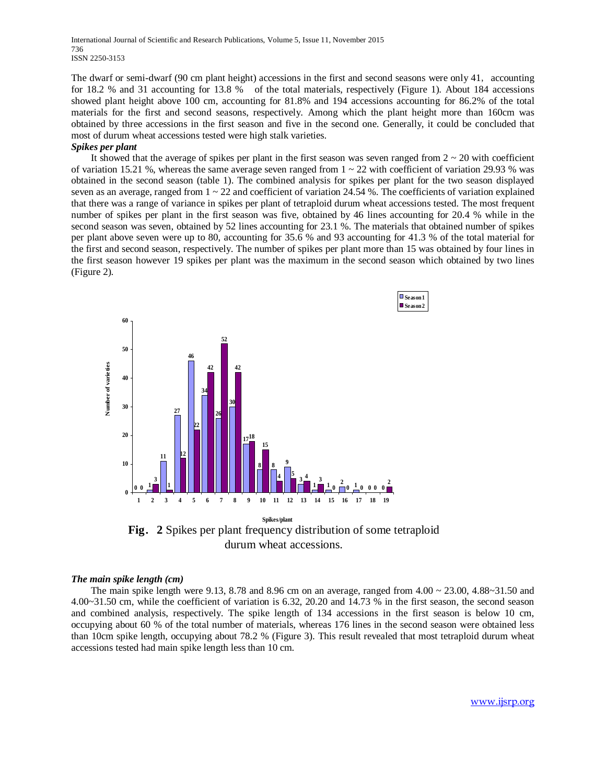International Journal of Scientific and Research Publications, Volume 5, Issue 11, November 2015 736 ISSN 2250-3153

The dwarf or semi-dwarf (90 cm plant height) accessions in the first and second seasons were only 41, accounting for 18.2 % and 31 accounting for 13.8 % of the total materials, respectively (Figure 1). About 184 accessions showed plant height above 100 cm, accounting for 81.8% and 194 accessions accounting for 86.2% of the total materials for the first and second seasons, respectively. Among which the plant height more than 160cm was obtained by three accessions in the first season and five in the second one. Generally, it could be concluded that most of durum wheat accessions tested were high stalk varieties.

#### *Spikes per plant*

It showed that the average of spikes per plant in the first season was seven ranged from  $2 \sim 20$  with coefficient of variation 15.21 %, whereas the same average seven ranged from  $1 \sim 22$  with coefficient of variation 29.93 % was obtained in the second season (table 1). The combined analysis for spikes per plant for the two season displayed seven as an average, ranged from  $1 \sim 22$  and coefficient of variation 24.54 %. The coefficients of variation explained that there was a range of variance in spikes per plant of tetraploid durum wheat accessions tested. The most frequent number of spikes per plant in the first season was five, obtained by 46 lines accounting for 20.4 % while in the second season was seven, obtained by 52 lines accounting for 23.1 %. The materials that obtained number of spikes per plant above seven were up to 80, accounting for 35.6 % and 93 accounting for 41.3 % of the total material for the first and second season, respectively. The number of spikes per plant more than 15 was obtained by four lines in the first season however 19 spikes per plant was the maximum in the second season which obtained by two lines (Figure 2).





#### *The main spike length (cm)*

The main spike length were 9.13, 8.78 and 8.96 cm on an average, ranged from  $4.00 \approx 23.00$ ,  $4.88 \approx 31.50$  and 4.00~31.50 cm, while the coefficient of variation is 6.32, 20.20 and 14.73 % in the first season, the second season and combined analysis, respectively. The spike length of 134 accessions in the first season is below 10 cm, occupying about 60 % of the total number of materials, whereas 176 lines in the second season were obtained less than 10cm spike length, occupying about 78.2 % (Figure 3). This result revealed that most tetraploid durum wheat accessions tested had main spike length less than 10 cm.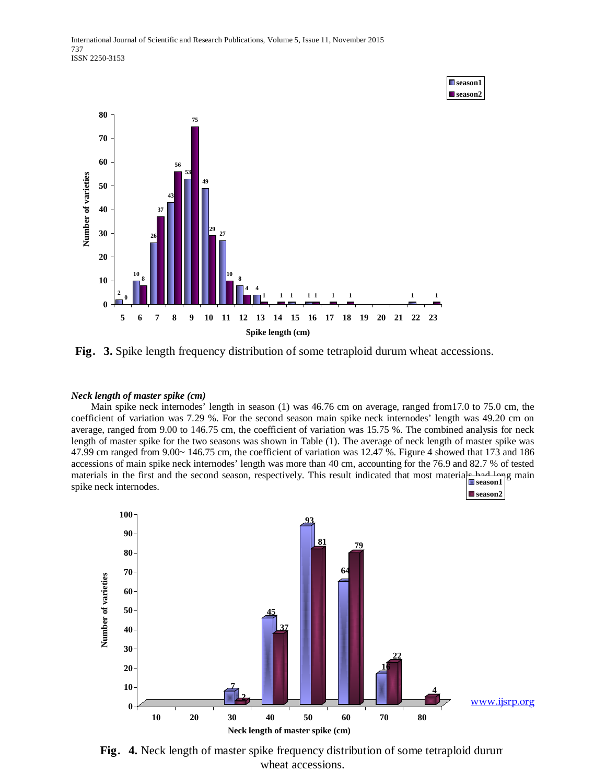

■season1

**Fig**.**3.** Spike length frequency distribution of some tetraploid durum wheat accessions.

# *Neck length of master spike (cm)*

Main spike neck internodes' length in season (1) was 46.76 cm on average, ranged from17.0 to 75.0 cm, the coefficient of variation was 7.29 %. For the second season main spike neck internodes' length was 49.20 cm on average, ranged from 9.00 to 146.75 cm, the coefficient of variation was 15.75 %. The combined analysis for neck length of master spike for the two seasons was shown in Table (1). The average of neck length of master spike was 47.99 cm ranged from 9.00~ 146.75 cm, the coefficient of variation was 12.47 %. Figure 4 showed that 173 and 186 accessions of main spike neck internodes' length was more than 40 cm, accounting for the 76.9 and 82.7 % of tested materials in the first and the second season, respectively. This result indicated that most materials had long main spike neck internodes. **season1** ■ season2



**Fig**.**4.** Neck length of master spike frequency distribution of some tetraploid durum wheat accessions.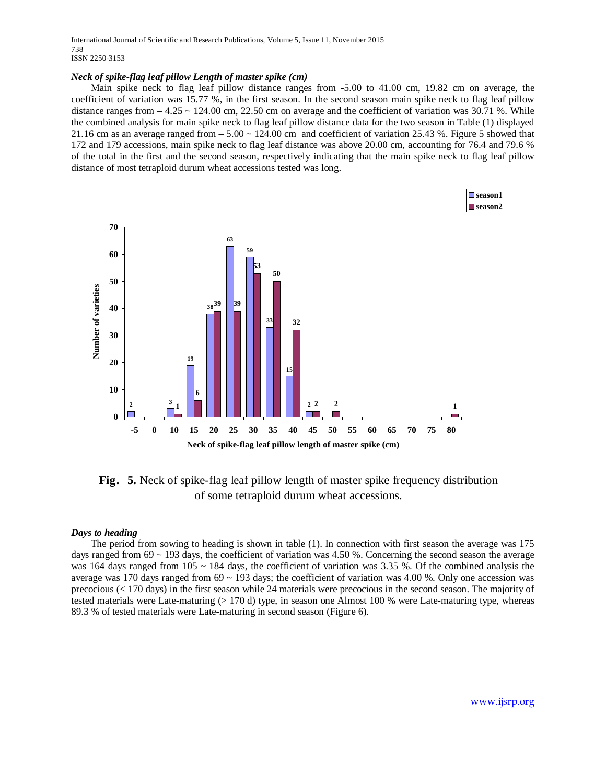International Journal of Scientific and Research Publications, Volume 5, Issue 11, November 2015 738 ISSN 2250-3153

#### *Neck of spike-flag leaf pillow Length of master spike (cm)*

Main spike neck to flag leaf pillow distance ranges from -5.00 to 41.00 cm, 19.82 cm on average, the coefficient of variation was 15.77 %, in the first season. In the second season main spike neck to flag leaf pillow distance ranges from  $-4.25 \sim 124.00$  cm, 22.50 cm on average and the coefficient of variation was 30.71 %. While the combined analysis for main spike neck to flag leaf pillow distance data for the two season in Table (1) displayed 21.16 cm as an average ranged from  $-5.00 \approx 124.00$  cm and coefficient of variation 25.43 %. Figure 5 showed that 172 and 179 accessions, main spike neck to flag leaf distance was above 20.00 cm, accounting for 76.4 and 79.6 % of the total in the first and the second season, respectively indicating that the main spike neck to flag leaf pillow distance of most tetraploid durum wheat accessions tested was long.



**Fig**.**5.** Neck of spike-flag leaf pillow length of master spike frequency distribution of some tetraploid durum wheat accessions.

#### *Days to heading*

The period from sowing to heading is shown in table (1). In connection with first season the average was 175 days ranged from 69 ~ 193 days, the coefficient of variation was 4.50 %. Concerning the second season the average was 164 days ranged from 105  $\sim$  184 days, the coefficient of variation was 3.35 %. Of the combined analysis the average was 170 days ranged from  $69 \sim 193$  days; the coefficient of variation was 4.00 %. Only one accession was precocious (< 170 days) in the first season while 24 materials were precocious in the second season. The majority of tested materials were Late-maturing (> 170 d) type, in season one Almost 100 % were Late-maturing type, whereas 89.3 % of tested materials were Late-maturing in second season (Figure 6).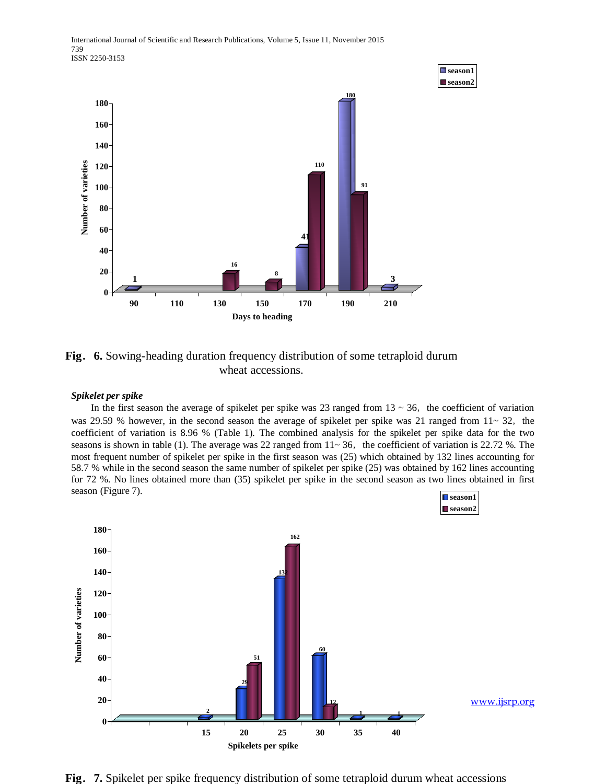

**Fig**.**6.** Sowing-heading duration frequency distribution of some tetraploid durum wheat accessions.

# *Spikelet per spike*

In the first season the average of spikelet per spike was 23 ranged from  $13 \sim 36$ , the coefficient of variation was 29.59 % however, in the second season the average of spikelet per spike was 21 ranged from  $11 \sim 32$ , the coefficient of variation is 8.96 % (Table 1). The combined analysis for the spikelet per spike data for the two seasons is shown in table (1). The average was 22 ranged from  $11 \sim 36$ , the coefficient of variation is 22.72 %. The most frequent number of spikelet per spike in the first season was (25) which obtained by 132 lines accounting for 58.7 % while in the second season the same number of spikelet per spike (25) was obtained by 162 lines accounting for 72 %. No lines obtained more than (35) spikelet per spike in the second season as two lines obtained in first season (Figure 7). **season1**



**Fig**.**7.** Spikelet per spike frequency distribution of some tetraploid durum wheat accessions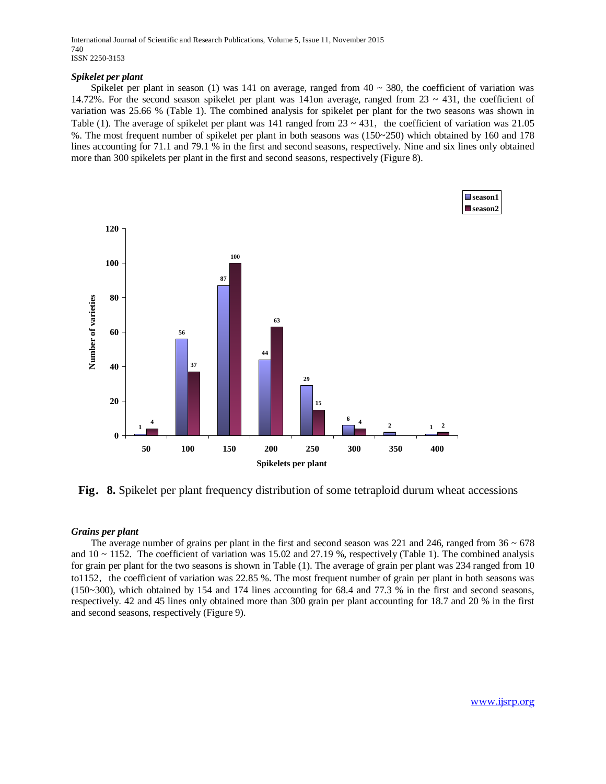International Journal of Scientific and Research Publications, Volume 5, Issue 11, November 2015 740 ISSN 2250-3153

# *Spikelet per plant*

Spikelet per plant in season (1) was 141 on average, ranged from  $40 \sim 380$ , the coefficient of variation was 14.72%. For the second season spikelet per plant was 141on average, ranged from  $23 \sim 431$ , the coefficient of variation was 25.66 % (Table 1). The combined analysis for spikelet per plant for the two seasons was shown in Table (1). The average of spikelet per plant was 141 ranged from  $23 \sim 431$ , the coefficient of variation was 21.05 %. The most frequent number of spikelet per plant in both seasons was (150~250) which obtained by 160 and 178 lines accounting for 71.1 and 79.1 % in the first and second seasons, respectively. Nine and six lines only obtained more than 300 spikelets per plant in the first and second seasons, respectively (Figure 8).



**Fig**.**8.** Spikelet per plant frequency distribution of some tetraploid durum wheat accessions

# *Grains per plant*

The average number of grains per plant in the first and second season was 221 and 246, ranged from  $36 \sim 678$ and  $10 \sim 1152$ . The coefficient of variation was 15.02 and 27.19 %, respectively (Table 1). The combined analysis for grain per plant for the two seasons is shown in Table (1). The average of grain per plant was 234 ranged from 10 to1152, the coefficient of variation was 22.85 %. The most frequent number of grain per plant in both seasons was (150~300), which obtained by 154 and 174 lines accounting for 68.4 and 77.3 % in the first and second seasons, respectively. 42 and 45 lines only obtained more than 300 grain per plant accounting for 18.7 and 20 % in the first and second seasons, respectively (Figure 9).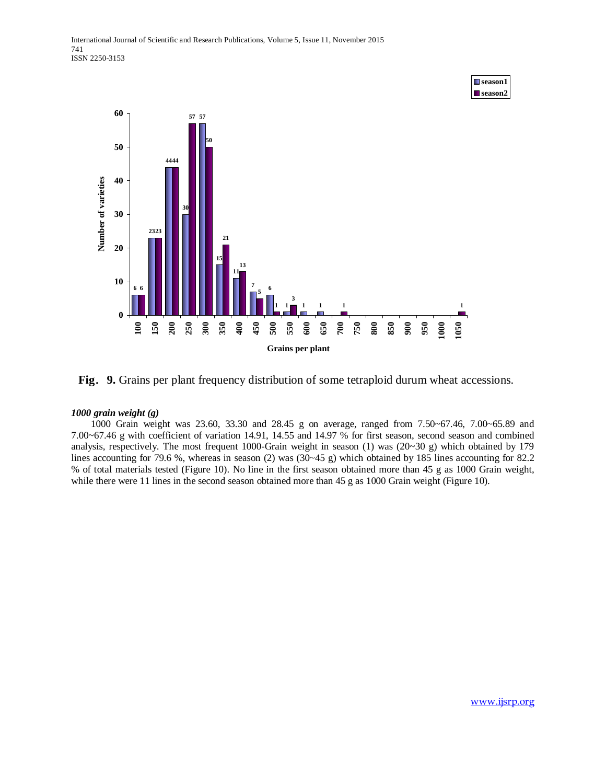



# *1000 grain weight (g)*

1000 Grain weight was 23.60, 33.30 and 28.45 g on average, ranged from 7.50~67.46, 7.00~65.89 and 7.00~67.46 g with coefficient of variation 14.91, 14.55 and 14.97 % for first season, second season and combined analysis, respectively. The most frequent 1000-Grain weight in season (1) was (20~30 g) which obtained by 179 lines accounting for 79.6 %, whereas in season (2) was (30~45 g) which obtained by 185 lines accounting for 82.2 % of total materials tested (Figure 10). No line in the first season obtained more than 45 g as 1000 Grain weight, while there were 11 lines in the second season obtained more than 45 g as 1000 Grain weight (Figure 10).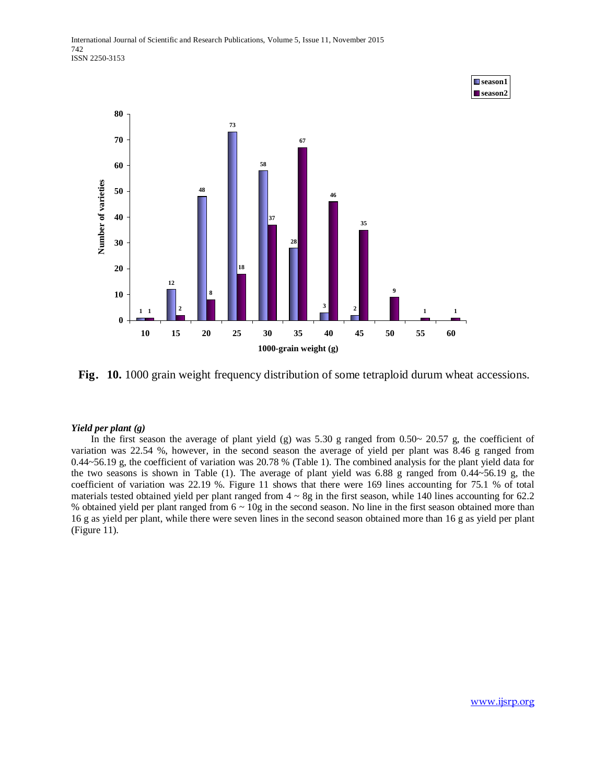

**Fig**.**10.** 1000 grain weight frequency distribution of some tetraploid durum wheat accessions.

# *Yield per plant (g)*

In the first season the average of plant yield (g) was  $5.30$  g ranged from  $0.50 \sim 20.57$  g, the coefficient of variation was 22.54 %, however, in the second season the average of yield per plant was 8.46 g ranged from 0.44~56.19 g, the coefficient of variation was 20.78 % (Table 1). The combined analysis for the plant yield data for the two seasons is shown in Table (1). The average of plant yield was 6.88 g ranged from 0.44~56.19 g, the coefficient of variation was 22.19 %. Figure 11 shows that there were 169 lines accounting for 75.1 % of total materials tested obtained yield per plant ranged from  $4 \sim 8g$  in the first season, while 140 lines accounting for 62.2 % obtained yield per plant ranged from 6 ~ 10g in the second season. No line in the first season obtained more than 16 g as yield per plant, while there were seven lines in the second season obtained more than 16 g as yield per plant (Figure 11).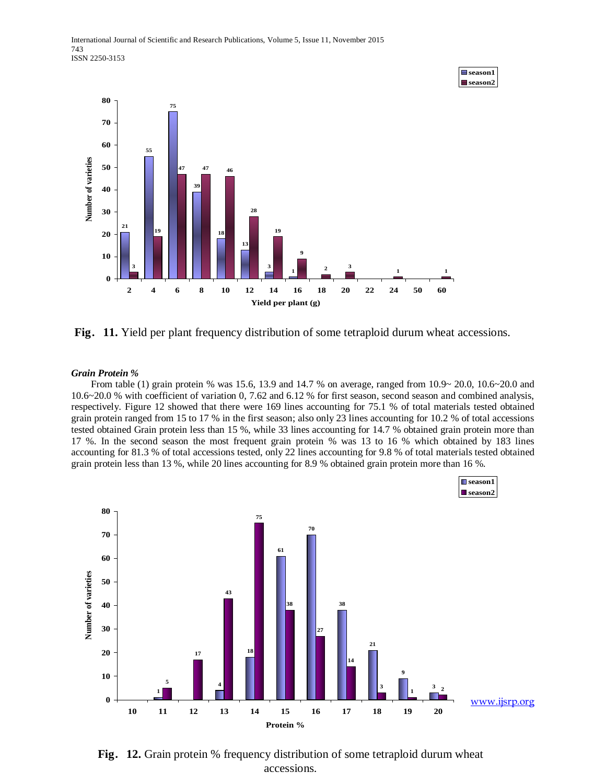

■season1

**Fig**.**11.** Yield per plant frequency distribution of some tetraploid durum wheat accessions.

# *Grain Protein %*

From table (1) grain protein % was 15.6, 13.9 and 14.7 % on average, ranged from 10.9~ 20.0, 10.6~20.0 and 10.6~20.0 % with coefficient of variation 0, 7.62 and 6.12 % for first season, second season and combined analysis, respectively. Figure 12 showed that there were 169 lines accounting for 75.1 % of total materials tested obtained grain protein ranged from 15 to 17 % in the first season; also only 23 lines accounting for 10.2 % of total accessions tested obtained Grain protein less than 15 %, while 33 lines accounting for 14.7 % obtained grain protein more than 17 %. In the second season the most frequent grain protein % was 13 to 16 % which obtained by 183 lines accounting for 81.3 % of total accessions tested, only 22 lines accounting for 9.8 % of total materials tested obtained grain protein less than 13 %, while 20 lines accounting for 8.9 % obtained grain protein more than 16 %.



**Fig**.**12.** Grain protein % frequency distribution of some tetraploid durum wheat accessions.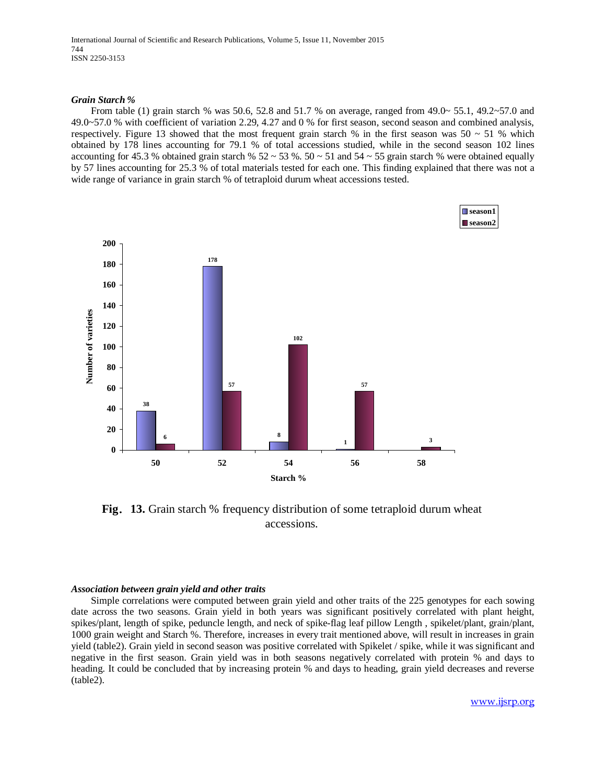International Journal of Scientific and Research Publications, Volume 5, Issue 11, November 2015 744 ISSN 2250-3153

#### *Grain Starch %*

From table (1) grain starch % was 50.6, 52.8 and 51.7 % on average, ranged from  $49.0 \sim 55.1$ ,  $49.2 \sim 57.0$  and 49.0~57.0 % with coefficient of variation 2.29, 4.27 and 0 % for first season, second season and combined analysis, respectively. Figure 13 showed that the most frequent grain starch % in the first season was  $50 \sim 51$  % which obtained by 178 lines accounting for 79.1 % of total accessions studied, while in the second season 102 lines accounting for 45.3 % obtained grain starch %  $52 \approx 53$  %.  $50 \approx 51$  and  $54 \approx 55$  grain starch % were obtained equally by 57 lines accounting for 25.3 % of total materials tested for each one. This finding explained that there was not a wide range of variance in grain starch % of tetraploid durum wheat accessions tested.



**Fig**.**13.** Grain starch % frequency distribution of some tetraploid durum wheat accessions.

# *Association between grain yield and other traits*

Simple correlations were computed between grain yield and other traits of the 225 genotypes for each sowing date across the two seasons. Grain yield in both years was significant positively correlated with plant height, spikes/plant, length of spike, peduncle length, and neck of spike-flag leaf pillow Length , spikelet/plant, grain/plant, 1000 grain weight and Starch %. Therefore, increases in every trait mentioned above, will result in increases in grain yield (table2). Grain yield in second season was positive correlated with Spikelet / spike, while it was significant and negative in the first season. Grain yield was in both seasons negatively correlated with protein % and days to heading. It could be concluded that by increasing protein % and days to heading, grain yield decreases and reverse (table2).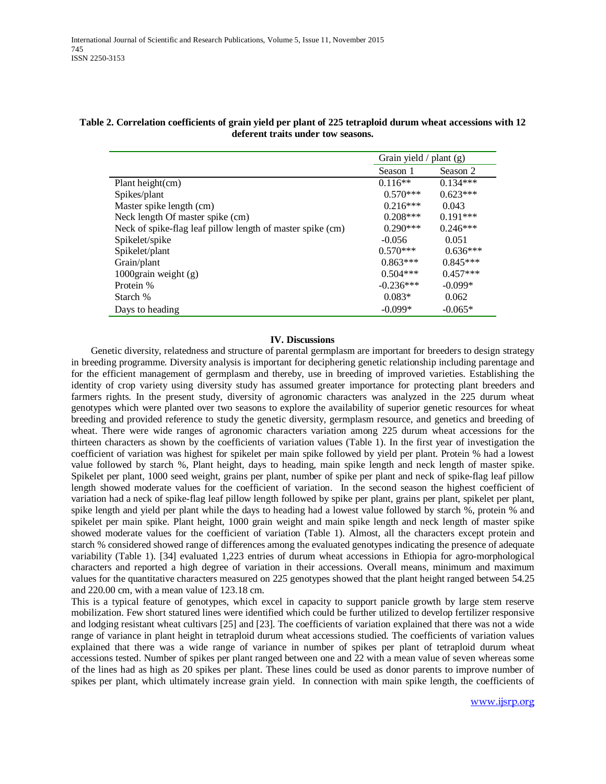|                                                            | Grain yield $/$ plant (g) |            |  |
|------------------------------------------------------------|---------------------------|------------|--|
|                                                            | Season 1                  | Season 2   |  |
| Plant height(cm)                                           | $0.116**$                 | $0.134***$ |  |
| Spikes/plant                                               | $0.570***$                | $0.623***$ |  |
| Master spike length (cm)                                   | $0.216***$                | 0.043      |  |
| Neck length Of master spike (cm)                           | $0.208***$                | $0.191***$ |  |
| Neck of spike-flag leaf pillow length of master spike (cm) | $0.290***$                | $0.246***$ |  |
| Spikelet/spike                                             | $-0.056$                  | 0.051      |  |
| Spikelet/plant                                             | $0.570***$                | $0.636***$ |  |
| Grain/plant                                                | $0.863***$                | $0.845***$ |  |
| 1000 $grain$ weight $(g)$                                  | $0.504***$                | $0.457***$ |  |
| Protein %                                                  | $-0.236***$               | $-0.099*$  |  |
| Starch %                                                   | $0.083*$                  | 0.062      |  |
| Days to heading                                            | $-0.099*$                 | $-0.065*$  |  |

# **Table 2. Correlation coefficients of grain yield per plant of 225 tetraploid durum wheat accessions with 12 deferent traits under tow seasons.**

#### **IV. Discussions**

Genetic diversity, relatedness and structure of parental germplasm are important for breeders to design strategy in breeding programme. Diversity analysis is important for deciphering genetic relationship including parentage and for the efficient management of germplasm and thereby, use in breeding of improved varieties. Establishing the identity of crop variety using diversity study has assumed greater importance for protecting plant breeders and farmers rights. In the present study, diversity of agronomic characters was analyzed in the 225 durum wheat genotypes which were planted over two seasons to explore the availability of superior genetic resources for wheat breeding and provided reference to study the genetic diversity, germplasm resource, and genetics and breeding of wheat. There were wide ranges of agronomic characters variation among 225 durum wheat accessions for the thirteen characters as shown by the coefficients of variation values (Table 1). In the first year of investigation the coefficient of variation was highest for spikelet per main spike followed by yield per plant. Protein % had a lowest value followed by starch %, Plant height, days to heading, main spike length and neck length of master spike. Spikelet per plant, 1000 seed weight, grains per plant, number of spike per plant and neck of spike-flag leaf pillow length showed moderate values for the coefficient of variation. In the second season the highest coefficient of variation had a neck of spike-flag leaf pillow length followed by spike per plant, grains per plant, spikelet per plant, spike length and yield per plant while the days to heading had a lowest value followed by starch %, protein % and spikelet per main spike. Plant height, 1000 grain weight and main spike length and neck length of master spike showed moderate values for the coefficient of variation (Table 1). Almost, all the characters except protein and starch % considered showed range of differences among the evaluated genotypes indicating the presence of adequate variability (Table 1). [34] evaluated 1,223 entries of durum wheat accessions in Ethiopia for agro-morphological characters and reported a high degree of variation in their accessions. Overall means, minimum and maximum values for the quantitative characters measured on 225 genotypes showed that the plant height ranged between 54.25 and 220.00 cm, with a mean value of 123.18 cm.

This is a typical feature of genotypes, which excel in capacity to support panicle growth by large stem reserve mobilization. Few short statured lines were identified which could be further utilized to develop fertilizer responsive and lodging resistant wheat cultivars [25] and [23]. The coefficients of variation explained that there was not a wide range of variance in plant height in tetraploid durum wheat accessions studied. The coefficients of variation values explained that there was a wide range of variance in number of spikes per plant of tetraploid durum wheat accessions tested. Number of spikes per plant ranged between one and 22 with a mean value of seven whereas some of the lines had as high as 20 spikes per plant. These lines could be used as donor parents to improve number of spikes per plant, which ultimately increase grain yield. In connection with main spike length, the coefficients of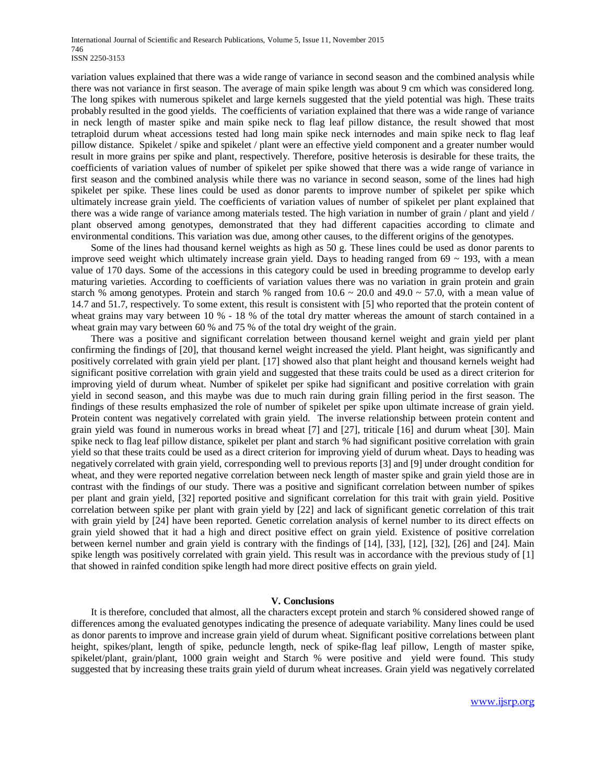variation values explained that there was a wide range of variance in second season and the combined analysis while there was not variance in first season. The average of main spike length was about 9 cm which was considered long. The long spikes with numerous spikelet and large kernels suggested that the yield potential was high. These traits probably resulted in the good yields. The coefficients of variation explained that there was a wide range of variance in neck length of master spike and main spike neck to flag leaf pillow distance, the result showed that most tetraploid durum wheat accessions tested had long main spike neck internodes and main spike neck to flag leaf pillow distance. Spikelet / spike and spikelet / plant were an effective yield component and a greater number would result in more grains per spike and plant, respectively. Therefore, positive heterosis is desirable for these traits, the coefficients of variation values of number of spikelet per spike showed that there was a wide range of variance in first season and the combined analysis while there was no variance in second season, some of the lines had high spikelet per spike. These lines could be used as donor parents to improve number of spikelet per spike which ultimately increase grain yield. The coefficients of variation values of number of spikelet per plant explained that there was a wide range of variance among materials tested. The high variation in number of grain / plant and yield / plant observed among genotypes, demonstrated that they had different capacities according to climate and environmental conditions. This variation was due, among other causes, to the different origins of the genotypes.

Some of the lines had thousand kernel weights as high as 50 g. These lines could be used as donor parents to improve seed weight which ultimately increase grain yield. Days to heading ranged from  $69 \sim 193$ , with a mean value of 170 days. Some of the accessions in this category could be used in breeding programme to develop early maturing varieties. According to coefficients of variation values there was no variation in grain protein and grain starch % among genotypes. Protein and starch % ranged from  $10.6 \sim 20.0$  and  $49.0 \sim 57.0$ , with a mean value of 14.7 and 51.7, respectively. To some extent, this result is consistent with [5] who reported that the protein content of wheat grains may vary between 10 % - 18 % of the total dry matter whereas the amount of starch contained in a wheat grain may vary between 60 % and 75 % of the total dry weight of the grain.

There was a positive and significant correlation between thousand kernel weight and grain yield per plant confirming the findings of [20], that thousand kernel weight increased the yield. Plant height, was significantly and positively correlated with grain yield per plant. [17] showed also that plant height and thousand kernels weight had significant positive correlation with grain yield and suggested that these traits could be used as a direct criterion for improving yield of durum wheat. Number of spikelet per spike had significant and positive correlation with grain yield in second season, and this maybe was due to much rain during grain filling period in the first season. The findings of these results emphasized the role of number of spikelet per spike upon ultimate increase of grain yield. Protein content was negatively correlated with grain yield. The inverse relationship between protein content and grain yield was found in numerous works in bread wheat [7] and [27], triticale [16] and durum wheat [30]. Main spike neck to flag leaf pillow distance, spikelet per plant and starch % had significant positive correlation with grain yield so that these traits could be used as a direct criterion for improving yield of durum wheat. Days to heading was negatively correlated with grain yield, corresponding well to previous reports [3] and [9] under drought condition for wheat, and they were reported negative correlation between neck length of master spike and grain yield those are in contrast with the findings of our study. There was a positive and significant correlation between number of spikes per plant and grain yield, [32] reported positive and significant correlation for this trait with grain yield. Positive correlation between spike per plant with grain yield by [22] and lack of significant genetic correlation of this trait with grain yield by [24] have been reported. Genetic correlation analysis of kernel number to its direct effects on grain yield showed that it had a high and direct positive effect on grain yield. Existence of positive correlation between kernel number and grain yield is contrary with the findings of [14], [33], [12], [32], [26] and [24]. Main spike length was positively correlated with grain yield. This result was in accordance with the previous study of [1] that showed in rainfed condition spike length had more direct positive effects on grain yield.

#### **V. Conclusions**

It is therefore, concluded that almost, all the characters except protein and starch % considered showed range of differences among the evaluated genotypes indicating the presence of adequate variability. Many lines could be used as donor parents to improve and increase grain yield of durum wheat. Significant positive correlations between plant height, spikes/plant, length of spike, peduncle length, neck of spike-flag leaf pillow, Length of master spike, spikelet/plant, grain/plant, 1000 grain weight and Starch % were positive and yield were found. This study suggested that by increasing these traits grain yield of durum wheat increases. Grain yield was negatively correlated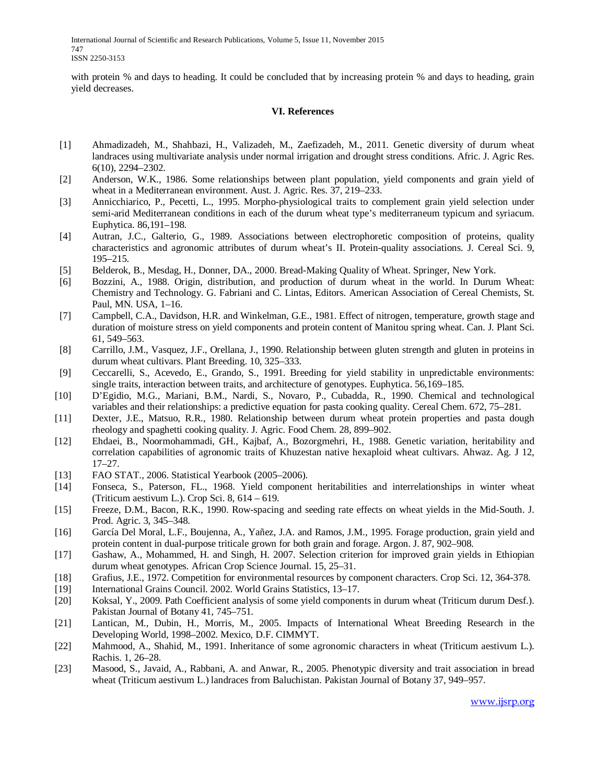International Journal of Scientific and Research Publications, Volume 5, Issue 11, November 2015 747 ISSN 2250-3153

with protein % and days to heading. It could be concluded that by increasing protein % and days to heading, grain yield decreases.

# **VI. References**

- [1] Ahmadizadeh, M., Shahbazi, H., Valizadeh, M., Zaefizadeh, M., 2011. Genetic diversity of durum wheat landraces using multivariate analysis under normal irrigation and drought stress conditions. Afric. J. Agric Res. 6(10), 2294–2302.
- [2] Anderson, W.K., 1986. Some relationships between plant population, yield components and grain yield of wheat in a Mediterranean environment. Aust. J. Agric. Res. 37, 219–233.
- [3] Annicchiarico, P., Pecetti, L., 1995. Morpho-physiological traits to complement grain yield selection under semi-arid Mediterranean conditions in each of the durum wheat type's mediterraneum typicum and syriacum. Euphytica. 86,191–198.
- [4] Autran, J.C., Galterio, G., 1989. Associations between electrophoretic composition of proteins, quality characteristics and agronomic attributes of durum wheat's II. Protein-quality associations. J. Cereal Sci. 9, 195–215.
- [5] Belderok, B., Mesdag, H., Donner, DA., 2000. Bread-Making Quality of Wheat. Springer, New York.
- [6] Bozzini, A., 1988. Origin, distribution, and production of durum wheat in the world. In Durum Wheat: Chemistry and Technology. G. Fabriani and C. Lintas, Editors. American Association of Cereal Chemists, St. Paul, MN. USA, 1–16.
- [7] Campbell, C.A., Davidson, H.R. and Winkelman, G.E., 1981. Effect of nitrogen, temperature, growth stage and duration of moisture stress on yield components and protein content of Manitou spring wheat. Can. J. Plant Sci. 61, 549–563.
- [8] Carrillo, J.M., Vasquez, J.F., Orellana, J., 1990. Relationship between gluten strength and gluten in proteins in durum wheat cultivars. Plant Breeding. 10, 325–333.
- [9] Ceccarelli, S., Acevedo, E., Grando, S., 1991. Breeding for yield stability in unpredictable environments: single traits, interaction between traits, and architecture of genotypes. Euphytica. 56,169–185.
- [10] D'Egidio, M.G., Mariani, B.M., Nardi, S., Novaro, P., Cubadda, R., 1990. Chemical and technological variables and their relationships: a predictive equation for pasta cooking quality. Cereal Chem. 672, 75–281.
- [11] Dexter, J.E., Matsuo, R.R., 1980. Relationship between durum wheat protein properties and pasta dough rheology and spaghetti cooking quality. J. Agric. Food Chem. 28, 899–902.
- [12] Ehdaei, B., Noormohammadi, GH., Kajbaf, A., Bozorgmehri, H., 1988. Genetic variation, heritability and correlation capabilities of agronomic traits of Khuzestan native hexaploid wheat cultivars. Ahwaz. Ag. J 12, 17–27.
- [13] FAO STAT., 2006. Statistical Yearbook (2005–2006).
- [14] Fonseca, S., Paterson, FL., 1968. Yield component heritabilities and interrelationships in winter wheat (Triticum aestivum L.). Crop Sci. 8, 614 – 619.
- [15] Freeze, D.M., Bacon, R.K., 1990. Row-spacing and seeding rate effects on wheat yields in the Mid-South. J. Prod. Agric. 3, 345–348.
- [16] García Del Moral, L.F., Boujenna, A., Yañez, J.A. and Ramos, J.M., 1995. Forage production, grain yield and protein content in dual-purpose triticale grown for both grain and forage. Argon. J. 87, 902–908.
- [17] Gashaw, A., Mohammed, H. and Singh, H. 2007. Selection criterion for improved grain yields in Ethiopian durum wheat genotypes. African Crop Science Journal. 15, 25–31.
- [18] Grafius, J.E., 1972. Competition for environmental resources by component characters. Crop Sci. 12, 364-378.
- [19] International Grains Council. 2002. World Grains Statistics, 13–17.
- [20] Koksal, Y., 2009. Path Coefficient analysis of some yield components in durum wheat (Triticum durum Desf.). Pakistan Journal of Botany 41, 745–751.
- [21] Lantican, M., Dubin, H., Morris, M., 2005. Impacts of International Wheat Breeding Research in the Developing World, 1998–2002. Mexico, D.F. CIMMYT.
- [22] Mahmood, A., Shahid, M., 1991. Inheritance of some agronomic characters in wheat (Triticum aestivum L.). Rachis. 1, 26–28.
- [23] Masood, S., Javaid, A., Rabbani, A. and Anwar, R., 2005. Phenotypic diversity and trait association in bread wheat (Triticum aestivum L.) landraces from Baluchistan. Pakistan Journal of Botany 37, 949–957.